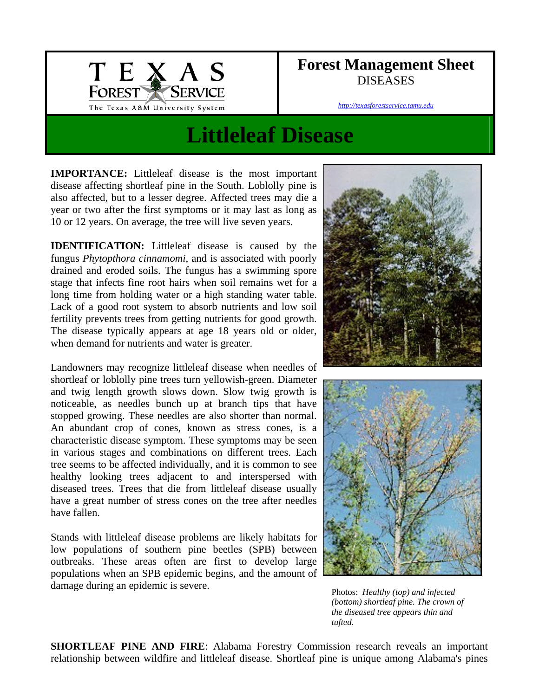

## **Forest Management Sheet**  DISEASES

*http://texasforestservice.tamu.edu*

## **Littleleaf Disease**

**IMPORTANCE:** Littleleaf disease is the most important disease affecting shortleaf pine in the South. Loblolly pine is also affected, but to a lesser degree. Affected trees may die a year or two after the first symptoms or it may last as long as 10 or 12 years. On average, the tree will live seven years.

**IDENTIFICATION:** Littleleaf disease is caused by the fungus *Phytopthora cinnamomi*, and is associated with poorly drained and eroded soils. The fungus has a swimming spore stage that infects fine root hairs when soil remains wet for a long time from holding water or a high standing water table. Lack of a good root system to absorb nutrients and low soil fertility prevents trees from getting nutrients for good growth. The disease typically appears at age 18 years old or older, when demand for nutrients and water is greater.

Landowners may recognize littleleaf disease when needles of shortleaf or loblolly pine trees turn yellowish-green. Diameter and twig length growth slows down. Slow twig growth is noticeable, as needles bunch up at branch tips that have stopped growing. These needles are also shorter than normal. An abundant crop of cones, known as stress cones, is a characteristic disease symptom. These symptoms may be seen in various stages and combinations on different trees. Each tree seems to be affected individually, and it is common to see healthy looking trees adjacent to and interspersed with diseased trees. Trees that die from littleleaf disease usually have a great number of stress cones on the tree after needles have fallen.

Stands with littleleaf disease problems are likely habitats for low populations of southern pine beetles (SPB) between outbreaks. These areas often are first to develop large populations when an SPB epidemic begins, and the amount of damage during an epidemic is severe.





Photos: *Healthy (top) and infected (bottom) shortleaf pine. The crown of the diseased tree appears thin and tufted.*

**SHORTLEAF PINE AND FIRE**: Alabama Forestry Commission research reveals an important relationship between wildfire and littleleaf disease. Shortleaf pine is unique among Alabama's pines